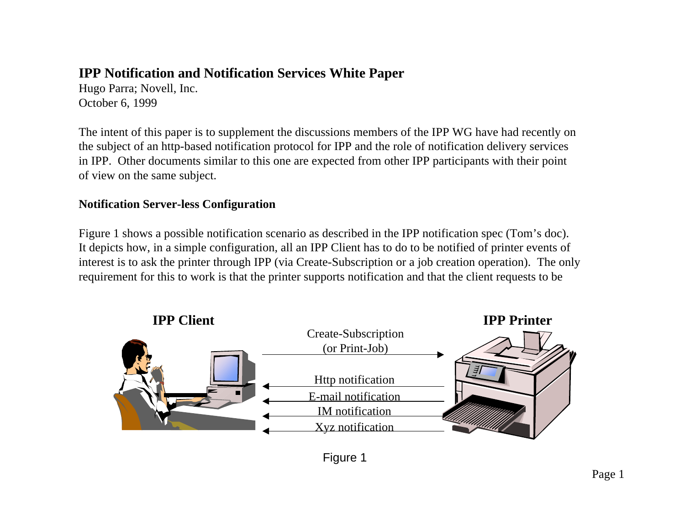# **IPP Notification and Notification Services White Paper**

Hugo Parra; Novell, Inc. October 6, 1999

The intent of this paper is to supplement the discussions members of the IPP WG have had recently on the subject of an http-based notification protocol for IPP and the role of notification delivery services in IPP. Other documents similar to this one are expected from other IPP participants with their point of view on the same subject.

### **Notification Server-less Configuration**

Figure 1 shows a possible notification scenario as described in the IPP notification spec (Tom's doc). It depicts how, in a simple configuration, all an IPP Client has to do to be notified of printer events of interest is to ask the printer through IPP (via Create-Subscription or a job creation operation). The only requirement for this to work is that the printer supports notification and that the client requests to be



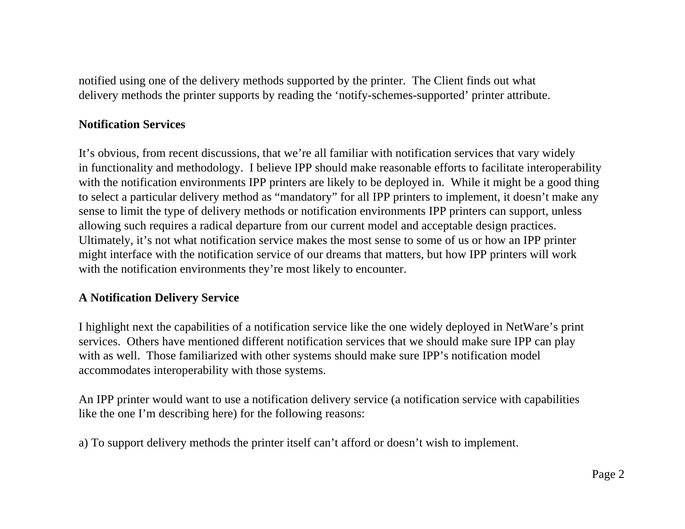notified using one of the delivery methods supported by the printer. The Client finds out what delivery methods the printer supports by reading the 'notify-schemes-supported' printer attribute.

#### **Notification Services**

It's obvious, from recent discussions, that we're all familiar with notification services that vary widely in functionality and methodology. I believe IPP should make reasonable efforts to facilitate interoperability with the notification environments IPP printers are likely to be deployed in. While it might be a good thing to select a particular delivery method as "mandatory" for all IPP printers to implement, it doesn't make any sense to limit the type of delivery methods or notification environments IPP printers can support, unless allowing such requires a radical departure from our current model and acceptable design practices. Ultimately, it's not what notification service makes the most sense to some of us or how an IPP printer might interface with the notification service of our dreams that matters, but how IPP printers will work with the notification environments they're most likely to encounter.

# **A Notification Delivery Service**

I highlight next the capabilities of a notification service like the one widely deployed in NetWare's print services. Others have mentioned different notification services that we should make sure IPP can play with as well. Those familiarized with other systems should make sure IPP's notification model accommodates interoperability with those systems.

An IPP printer would want to use a notification delivery service (a notification service with capabilities like the one I'm describing here) for the following reasons:

a) To support delivery methods the printer itself can't afford or doesn't wish to implement.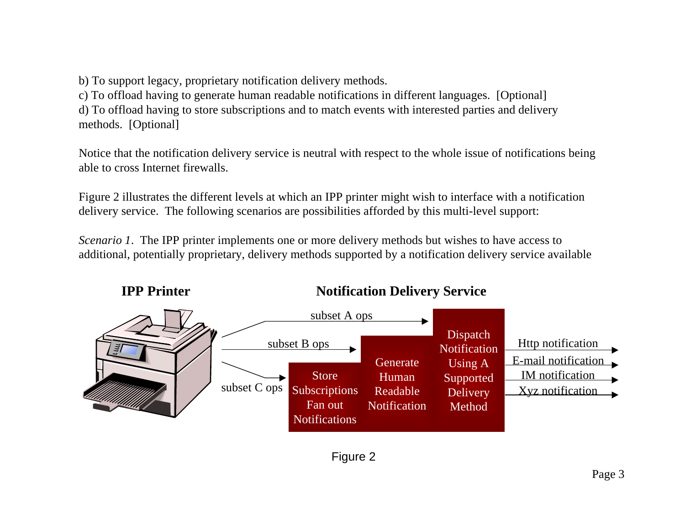b) To support legacy, proprietary notification delivery methods.

c) To offload having to generate human readable notifications in different languages. [Optional] d) To offload having to store subscriptions and to match events with interested parties and delivery methods. [Optional]

Notice that the notification delivery service is neutral with respect to the whole issue of notifications being able to cross Internet firewalls.

Figure 2 illustrates the different levels at which an IPP printer might wish to interface with a notification delivery service. The following scenarios are possibilities afforded by this multi-level support:

*Scenario 1*. The IPP printer implements one or more delivery methods but wishes to have access to additional, potentially proprietary, delivery methods supported by a notification delivery service available



**Notification Delivery Service**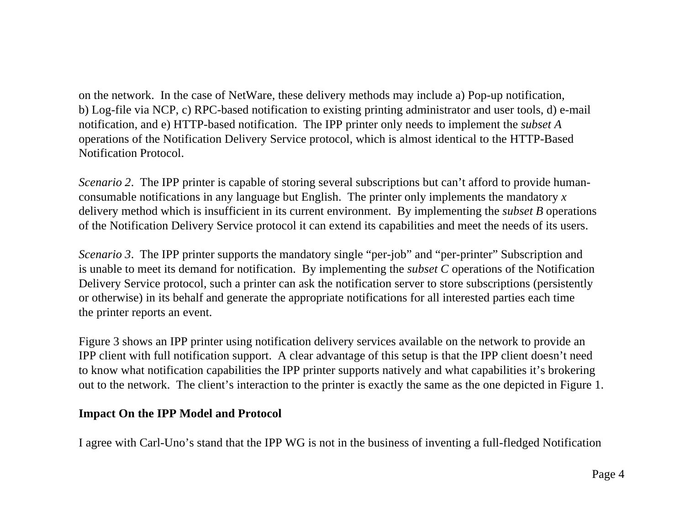on the network. In the case of NetWare, these delivery methods may include a) Pop-up notification, b) Log-file via NCP, c) RPC-based notification to existing printing administrator and user tools, d) e-mail notification, and e) HTTP-based notification. The IPP printer only needs to implement the *subset A* operations of the Notification Delivery Service protocol, which is almost identical to the HTTP-Based Notification Protocol.

*Scenario 2*. The IPP printer is capable of storing several subscriptions but can't afford to provide humanconsumable notifications in any language but English. The printer only implements the mandatory *x* delivery method which is insufficient in its current environment. By implementing the *subset B* operations of the Notification Delivery Service protocol it can extend its capabilities and meet the needs of its users.

*Scenario 3*. The IPP printer supports the mandatory single "per-job" and "per-printer" Subscription and is unable to meet its demand for notification. By implementing the *subset C* operations of the Notification Delivery Service protocol, such a printer can ask the notification server to store subscriptions (persistently or otherwise) in its behalf and generate the appropriate notifications for all interested parties each time the printer reports an event.

Figure 3 shows an IPP printer using notification delivery services available on the network to provide an IPP client with full notification support. A clear advantage of this setup is that the IPP client doesn't need to know what notification capabilities the IPP printer supports natively and what capabilities it's brokering out to the network. The client's interaction to the printer is exactly the same as the one depicted in Figure 1.

## **Impact On the IPP Model and Protocol**

I agree with Carl-Uno's stand that the IPP WG is not in the business of inventing a full-fledged Notification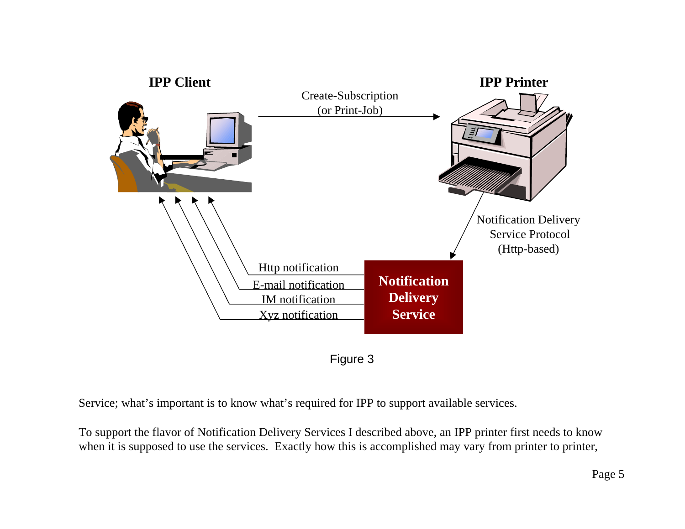



Service; what's important is to know what's required for IPP to support available services.

To support the flavor of Notification Delivery Services I described above, an IPP printer first needs to know when it is supposed to use the services. Exactly how this is accomplished may vary from printer to printer,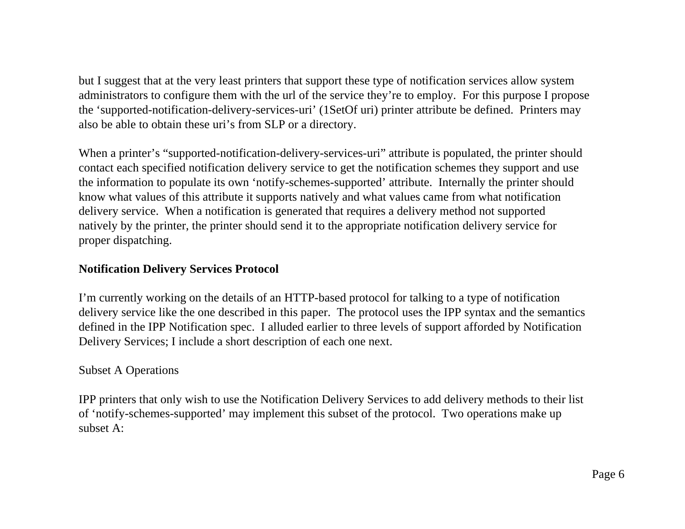but I suggest that at the very least printers that support these type of notification services allow system administrators to configure them with the url of the service they're to employ. For this purpose I propose the 'supported-notification-delivery-services-uri' (1SetOf uri) printer attribute be defined. Printers may also be able to obtain these uri's from SLP or a directory.

When a printer's "supported-notification-delivery-services-uri" attribute is populated, the printer should contact each specified notification delivery service to get the notification schemes they support and use the information to populate its own 'notify-schemes-supported' attribute. Internally the printer should know what values of this attribute it supports natively and what values came from what notification delivery service. When a notification is generated that requires a delivery method not supported natively by the printer, the printer should send it to the appropriate notification delivery service for proper dispatching.

### **Notification Delivery Services Protocol**

I'm currently working on the details of an HTTP-based protocol for talking to a type of notification delivery service like the one described in this paper. The protocol uses the IPP syntax and the semantics defined in the IPP Notification spec. I alluded earlier to three levels of support afforded by Notification Delivery Services; I include a short description of each one next.

# Subset A Operations

IPP printers that only wish to use the Notification Delivery Services to add delivery methods to their list of 'notify-schemes-supported' may implement this subset of the protocol. Two operations make up subset A: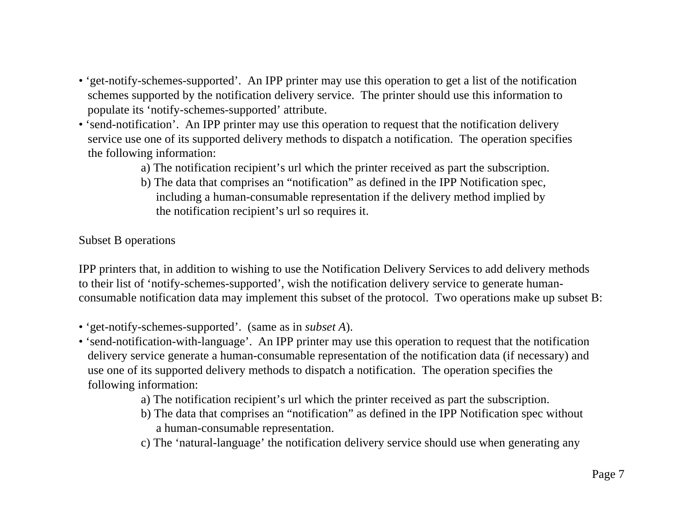- 'get-notify-schemes-supported'. An IPP printer may use this operation to get a list of the notification schemes supported by the notification delivery service. The printer should use this information to populate its 'notify-schemes-supported' attribute.
- 'send-notification'. An IPP printer may use this operation to request that the notification delivery service use one of its supported delivery methods to dispatch a notification. The operation specifies the following information:
	- a) The notification recipient's url which the printer received as part the subscription.
	- b) The data that comprises an "notification" as defined in the IPP Notification spec, including a human-consumable representation if the delivery method implied by the notification recipient's url so requires it.

#### Subset B operations

IPP printers that, in addition to wishing to use the Notification Delivery Services to add delivery methods to their list of 'notify-schemes-supported', wish the notification delivery service to generate humanconsumable notification data may implement this subset of the protocol. Two operations make up subset B:

- 'get-notify-schemes-supported'. (same as in *subset A*).
- 'send-notification-with-language'. An IPP printer may use this operation to request that the notification delivery service generate a human-consumable representation of the notification data (if necessary) and use one of its supported delivery methods to dispatch a notification. The operation specifies the following information:
	- a) The notification recipient's url which the printer received as part the subscription.
	- b) The data that comprises an "notification" as defined in the IPP Notification spec without a human-consumable representation.
	- c) The 'natural-language' the notification delivery service should use when generating any